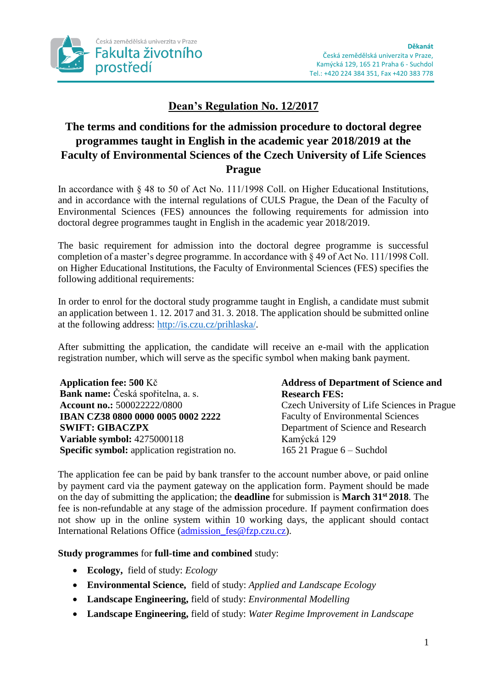

# **Dean's Regulation No. 12/2017**

# **The terms and conditions for the admission procedure to doctoral degree programmes taught in English in the academic year 2018/2019 at the Faculty of Environmental Sciences of the Czech University of Life Sciences Prague**

In accordance with § 48 to 50 of Act No. 111/1998 Coll. on Higher Educational Institutions, and in accordance with the internal regulations of CULS Prague, the Dean of the Faculty of Environmental Sciences (FES) announces the following requirements for admission into doctoral degree programmes taught in English in the academic year 2018/2019.

The basic requirement for admission into the doctoral degree programme is successful completion of a master's degree programme. In accordance with § 49 of Act No. 111/1998 Coll. on Higher Educational Institutions, the Faculty of Environmental Sciences (FES) specifies the following additional requirements:

In order to enrol for the doctoral study programme taught in English, a candidate must submit an application between 1. 12. 2017 and 31. 3. 2018. The application should be submitted online at the following address: [http://is.czu.cz/prihlaska/.](http://is.czu.cz/prihlaska/)

After submitting the application, the candidate will receive an e-mail with the application registration number, which will serve as the specific symbol when making bank payment.

**Application fee: 500** Kč **Bank name:** Česká spořitelna, a. s. **Account no.:** 500022222/0800 **IBAN CZ38 0800 0000 0005 0002 2222 SWIFT: GIBACZPX Variable symbol:** 4275000118 **Specific symbol:** application registration no.

## **Address of Department of Science and Research FES:**

Czech University of Life Sciences in Prague Faculty of Environmental Sciences Department of Science and Research Kamýcká 129 165 21 Prague 6 – Suchdol

The application fee can be paid by bank transfer to the account number above, or paid online by payment card via the payment gateway on the application form. Payment should be made on the day of submitting the application; the **deadline** for submission is **March 31st 2018**. The fee is non-refundable at any stage of the admission procedure. If payment confirmation does not show up in the online system within 10 working days, the applicant should contact International Relations Office [\(admission\\_fes@fzp.czu.cz\)](mailto:admission_fes@fzp.czu.cz).

## **Study programmes** for **full-time and combined** study:

- **Ecology,** field of study: *Ecology*
- **Environmental Science,** field of study: *Applied and Landscape Ecology*
- **Landscape Engineering,** field of study: *Environmental Modelling*
- **Landscape Engineering,** field of study: *Water Regime Improvement in Landscape*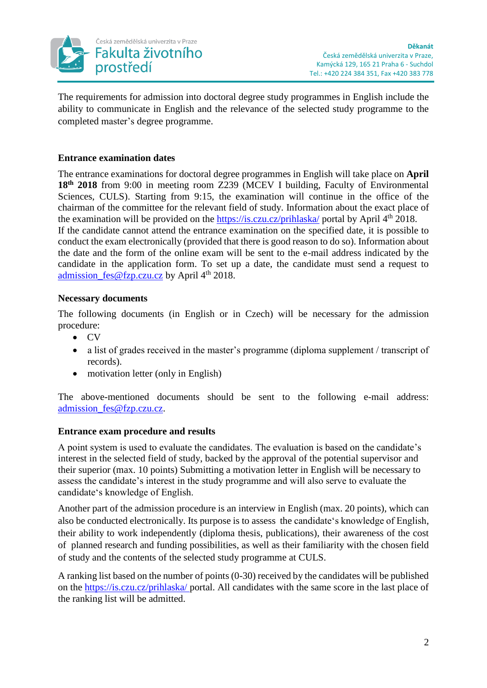

The requirements for admission into doctoral degree study programmes in English include the ability to communicate in English and the relevance of the selected study programme to the completed master's degree programme.

## **Entrance examination dates**

The entrance examinations for doctoral degree programmes in English will take place on **April 18th 2018** from 9:00 in meeting room Z239 (MCEV I building, Faculty of Environmental Sciences, CULS). Starting from 9:15, the examination will continue in the office of the chairman of the committee for the relevant field of study. Information about the exact place of the examination will be provided on the **https://is.czu.cz/prihlaska/** portal by April 4<sup>th</sup> 2018. If the candidate cannot attend the entrance examination on the specified date, it is possible to conduct the exam electronically (provided that there is good reason to do so). Information about the date and the form of the online exam will be sent to the e-mail address indicated by the candidate in the application form. To set up a date, the candidate must send a request to admission  $fes@fzp.czu.cz$  by April  $4<sup>th</sup> 2018$ .

## **Necessary documents**

The following documents (in English or in Czech) will be necessary for the admission procedure:

- CV
- a list of grades received in the master's programme (diploma supplement / transcript of records).
- motivation letter (only in English)

The above-mentioned documents should be sent to the following e-mail address: [admission\\_fes@fzp.czu.cz.](mailto:admission_fes@fzp.czu.cz)

### **Entrance exam procedure and results**

A point system is used to evaluate the candidates. The evaluation is based on the candidate's interest in the selected field of study, backed by the approval of the potential supervisor and their superior (max. 10 points) Submitting a motivation letter in English will be necessary to assess the candidate's interest in the study programme and will also serve to evaluate the candidate's knowledge of English.

Another part of the admission procedure is an interview in English (max. 20 points), which can also be conducted electronically. Its purpose is to assess the candidate's knowledge of English, their ability to work independently (diploma thesis, publications), their awareness of the cost of planned research and funding possibilities, as well as their familiarity with the chosen field of study and the contents of the selected study programme at CULS.

A ranking list based on the number of points (0-30) received by the candidates will be published on the<https://is.czu.cz/prihlaska/> portal. All candidates with the same score in the last place of the ranking list will be admitted.